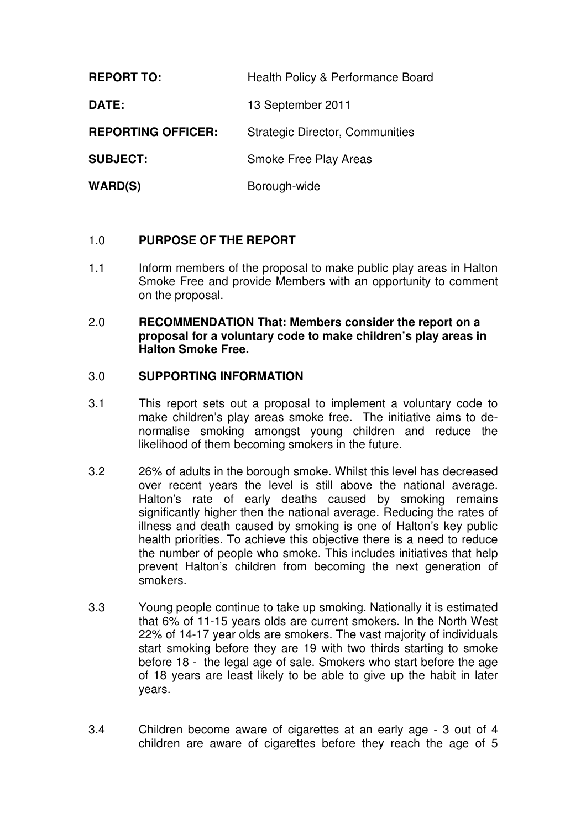| <b>REPORT TO:</b>         | Health Policy & Performance Board      |
|---------------------------|----------------------------------------|
| DATE:                     | 13 September 2011                      |
| <b>REPORTING OFFICER:</b> | <b>Strategic Director, Communities</b> |
| <b>SUBJECT:</b>           | Smoke Free Play Areas                  |
| <b>WARD(S)</b>            | Borough-wide                           |

## 1.0 **PURPOSE OF THE REPORT**

1.1 Inform members of the proposal to make public play areas in Halton Smoke Free and provide Members with an opportunity to comment on the proposal.

#### 2.0 **RECOMMENDATION That: Members consider the report on a proposal for a voluntary code to make children's play areas in Halton Smoke Free.**

## 3.0 **SUPPORTING INFORMATION**

- 3.1 This report sets out a proposal to implement a voluntary code to make children's play areas smoke free. The initiative aims to denormalise smoking amongst young children and reduce the likelihood of them becoming smokers in the future.
- 3.2 26% of adults in the borough smoke. Whilst this level has decreased over recent years the level is still above the national average. Halton's rate of early deaths caused by smoking remains significantly higher then the national average. Reducing the rates of illness and death caused by smoking is one of Halton's key public health priorities. To achieve this objective there is a need to reduce the number of people who smoke. This includes initiatives that help prevent Halton's children from becoming the next generation of smokers.
- 3.3 Young people continue to take up smoking. Nationally it is estimated that 6% of 11-15 years olds are current smokers. In the North West 22% of 14-17 year olds are smokers. The vast majority of individuals start smoking before they are 19 with two thirds starting to smoke before 18 - the legal age of sale. Smokers who start before the age of 18 years are least likely to be able to give up the habit in later years.
- 3.4 Children become aware of cigarettes at an early age 3 out of 4 children are aware of cigarettes before they reach the age of 5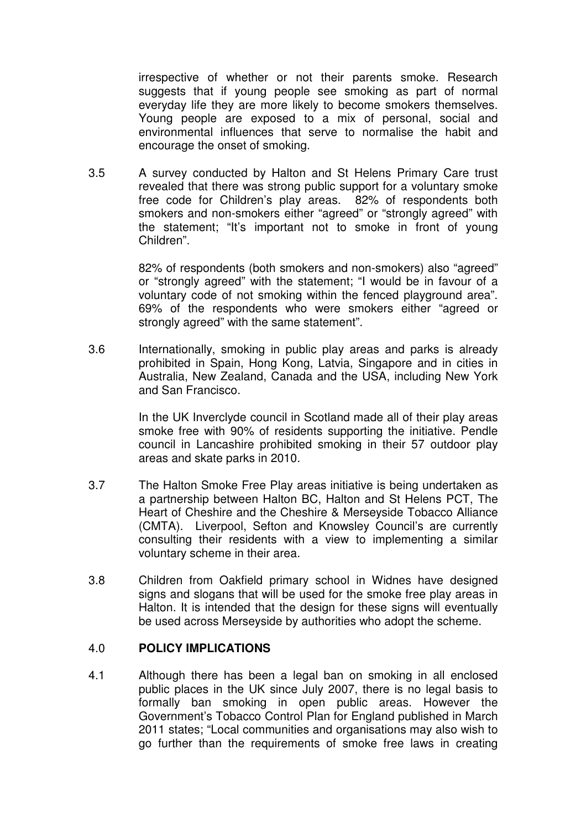irrespective of whether or not their parents smoke. Research suggests that if young people see smoking as part of normal everyday life they are more likely to become smokers themselves. Young people are exposed to a mix of personal, social and environmental influences that serve to normalise the habit and encourage the onset of smoking.

3.5 A survey conducted by Halton and St Helens Primary Care trust revealed that there was strong public support for a voluntary smoke free code for Children's play areas. 82% of respondents both smokers and non-smokers either "agreed" or "strongly agreed" with the statement; "It's important not to smoke in front of young Children".

> 82% of respondents (both smokers and non-smokers) also "agreed" or "strongly agreed" with the statement; "I would be in favour of a voluntary code of not smoking within the fenced playground area". 69% of the respondents who were smokers either "agreed or strongly agreed" with the same statement".

3.6 Internationally, smoking in public play areas and parks is already prohibited in Spain, Hong Kong, Latvia, Singapore and in cities in Australia, New Zealand, Canada and the USA, including New York and San Francisco.

> In the UK Inverclyde council in Scotland made all of their play areas smoke free with 90% of residents supporting the initiative. Pendle council in Lancashire prohibited smoking in their 57 outdoor play areas and skate parks in 2010.

- 3.7 The Halton Smoke Free Play areas initiative is being undertaken as a partnership between Halton BC, Halton and St Helens PCT, The Heart of Cheshire and the Cheshire & Merseyside Tobacco Alliance (CMTA). Liverpool, Sefton and Knowsley Council's are currently consulting their residents with a view to implementing a similar voluntary scheme in their area.
- 3.8 Children from Oakfield primary school in Widnes have designed signs and slogans that will be used for the smoke free play areas in Halton. It is intended that the design for these signs will eventually be used across Merseyside by authorities who adopt the scheme.

### 4.0 **POLICY IMPLICATIONS**

4.1 Although there has been a legal ban on smoking in all enclosed public places in the UK since July 2007, there is no legal basis to formally ban smoking in open public areas. However the Government's Tobacco Control Plan for England published in March 2011 states; "Local communities and organisations may also wish to go further than the requirements of smoke free laws in creating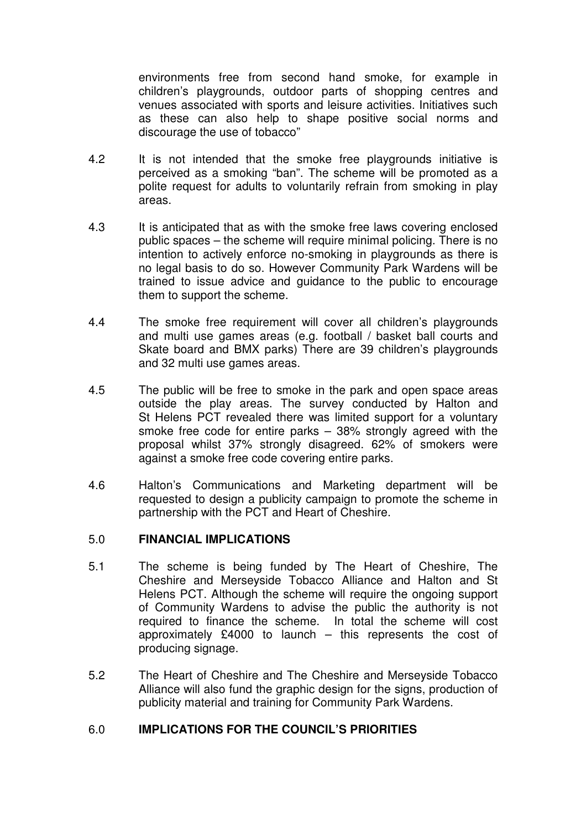environments free from second hand smoke, for example in children's playgrounds, outdoor parts of shopping centres and venues associated with sports and leisure activities. Initiatives such as these can also help to shape positive social norms and discourage the use of tobacco"

- 4.2 It is not intended that the smoke free playgrounds initiative is perceived as a smoking "ban". The scheme will be promoted as a polite request for adults to voluntarily refrain from smoking in play areas.
- 4.3 It is anticipated that as with the smoke free laws covering enclosed public spaces – the scheme will require minimal policing. There is no intention to actively enforce no-smoking in playgrounds as there is no legal basis to do so. However Community Park Wardens will be trained to issue advice and guidance to the public to encourage them to support the scheme.
- 4.4 The smoke free requirement will cover all children's playgrounds and multi use games areas (e.g. football / basket ball courts and Skate board and BMX parks) There are 39 children's playgrounds and 32 multi use games areas.
- 4.5 The public will be free to smoke in the park and open space areas outside the play areas. The survey conducted by Halton and St Helens PCT revealed there was limited support for a voluntary smoke free code for entire parks – 38% strongly agreed with the proposal whilst 37% strongly disagreed. 62% of smokers were against a smoke free code covering entire parks.
- 4.6 Halton's Communications and Marketing department will be requested to design a publicity campaign to promote the scheme in partnership with the PCT and Heart of Cheshire.

### 5.0 **FINANCIAL IMPLICATIONS**

- 5.1 The scheme is being funded by The Heart of Cheshire, The Cheshire and Merseyside Tobacco Alliance and Halton and St Helens PCT. Although the scheme will require the ongoing support of Community Wardens to advise the public the authority is not required to finance the scheme. In total the scheme will cost approximately £4000 to launch – this represents the cost of producing signage.
- 5.2 The Heart of Cheshire and The Cheshire and Merseyside Tobacco Alliance will also fund the graphic design for the signs, production of publicity material and training for Community Park Wardens.

# 6.0 **IMPLICATIONS FOR THE COUNCIL'S PRIORITIES**